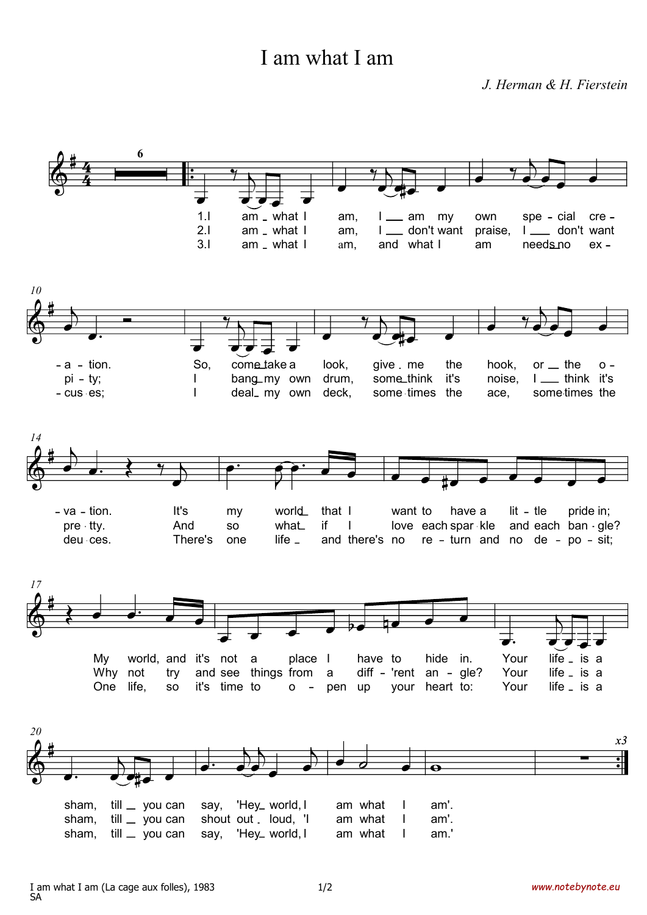## I am what I am

J. Herman & H. Fierstein